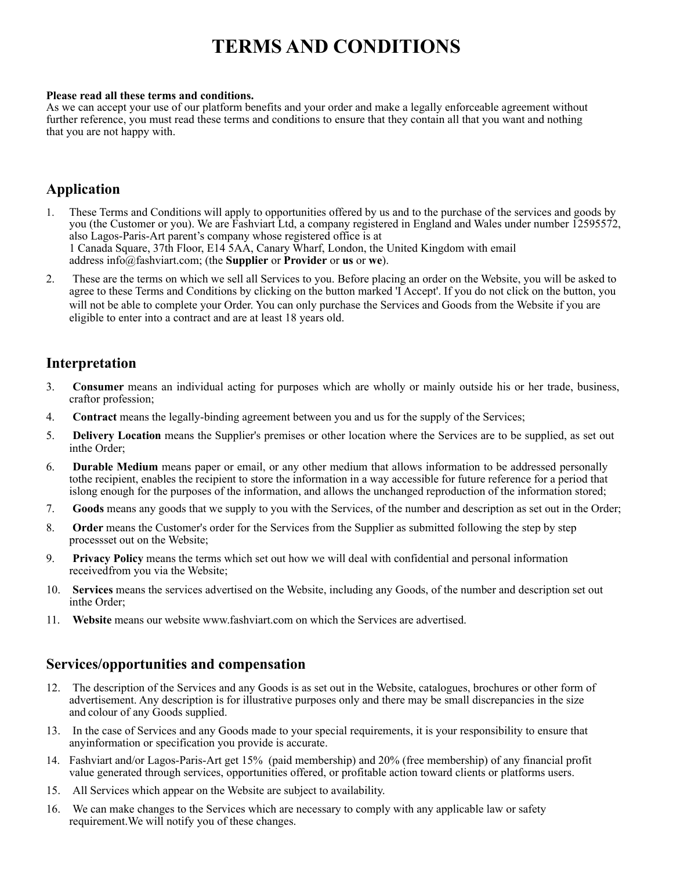# **TERMS AND CONDITIONS**

#### **Please read all these terms and conditions.**

As we can accept your use of our platform benefits and your order and make a legally enforceable agreement without further reference, you must read these terms and conditions to ensure that they contain all that you want and nothing that you are not happy with.

### **Application**

- 1. These Terms and Conditions will apply to opportunities offered by us and to the purchase of the services and goods by you (the Customer or you). We are Fashviart Ltd, a company registered in England and Wales under number 12595572, also Lagos-Paris-Art parent's company whose registered office is at 1 Canada Square, 37th Floor, E14 5AA, Canary Wharf, London, the United Kingdom with email address info@fashviart.com; (the **Supplier** or **Provider** or **us** or **we**).
- 2. These are the terms on which we sell all Services to you. Before placing an order on the Website, you will be asked to agree to these Terms and Conditions by clicking on the button marked 'I Accept'. If you do not click on the button, you will not be able to complete your Order. You can only purchase the Services and Goods from the Website if you are eligible to enter into a contract and are at least 18 years old.

### **Interpretation**

- 3. **Consumer** means an individual acting for purposes which are wholly or mainly outside his or her trade, business, craftor profession;
- 4. **Contract** means the legally-binding agreement between you and us for the supply of the Services;
- 5. **Delivery Location** means the Supplier's premises or other location where the Services are to be supplied, as set out inthe Order;
- 6. **Durable Medium** means paper or email, or any other medium that allows information to be addressed personally tothe recipient, enables the recipient to store the information in a way accessible for future reference for a period that islong enough for the purposes of the information, and allows the unchanged reproduction of the information stored;
- 7. **Goods** means any goods that we supply to you with the Services, of the number and description as set out in the Order;
- 8. **Order** means the Customer's order for the Services from the Supplier as submitted following the step by step processset out on the Website;
- 9. **Privacy Policy** means the terms which set out how we will deal with confidential and personal information receivedfrom you via the Website;
- 10. **Services** means the services advertised on the Website, including any Goods, of the number and description set out inthe Order;
- 11. **Website** means our website [www.fashviart.com](http://www.fashviart.com/) on which the Services are advertised.

### **Services/opportunities and compensation**

- 12. The description of the Services and any Goods is as set out in the Website, catalogues, brochures or other form of advertisement. Any description is for illustrative purposes only and there may be small discrepancies in the size and colour of any Goods supplied.
- 13. In the case of Services and any Goods made to your special requirements, it is your responsibility to ensure that anyinformation or specification you provide is accurate.
- 14. Fashviart and/or Lagos-Paris-Art get 15% (paid membership) and 20% (free membership) of any financial profit value generated through services, opportunities offered, or profitable action toward clients or platforms users.
- 15. All Services which appear on the Website are subject to availability.
- 16. We can make changes to the Services which are necessary to comply with any applicable law or safety requirement.We will notify you of these changes.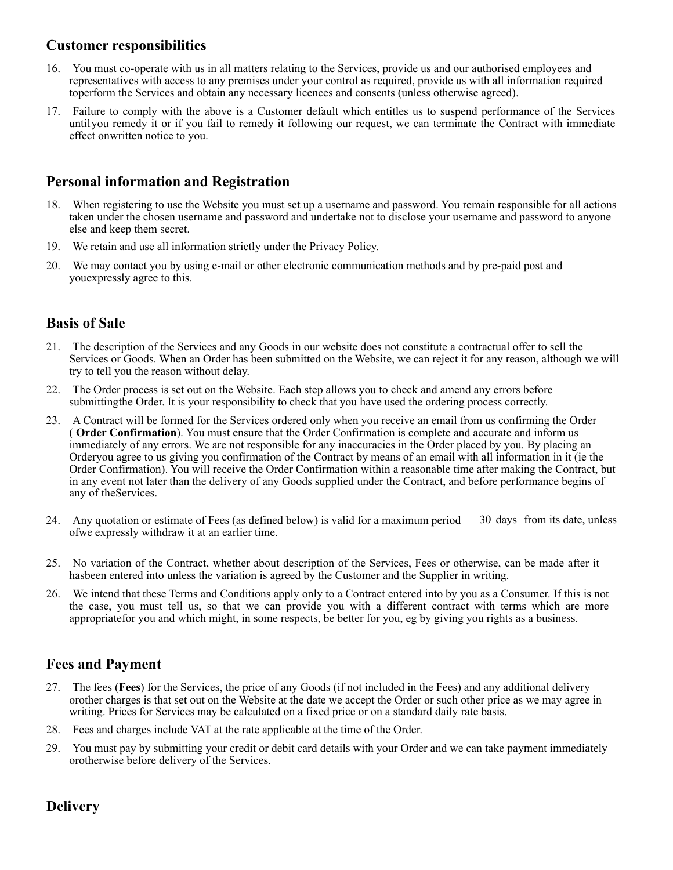### **Customer responsibilities**

- 16. You must co-operate with us in all matters relating to the Services, provide us and our authorised employees and representatives with access to any premises under your control as required, provide us with all information required toperform the Services and obtain any necessary licences and consents (unless otherwise agreed).
- 17. Failure to comply with the above is a Customer default which entitles us to suspend performance of the Services untilyou remedy it or if you fail to remedy it following our request, we can terminate the Contract with immediate effect onwritten notice to you.

### **Personal information and Registration**

- 18. When registering to use the Website you must set up a username and password. You remain responsible for all actions taken under the chosen username and password and undertake not to disclose your username and password to anyone else and keep them secret.
- 19. We retain and use all information strictly under the Privacy Policy.
- 20. We may contact you by using e-mail or other electronic communication methods and by pre-paid post and youexpressly agree to this.

### **Basis of Sale**

- 21. The description of the Services and any Goods in our website does not constitute a contractual offer to sell the Services or Goods. When an Order has been submitted on the Website, we can reject it for any reason, although we will try to tell you the reason without delay.
- 22. The Order process is set out on the Website. Each step allows you to check and amend any errors before submittingthe Order. It is your responsibility to check that you have used the ordering process correctly.
- 23. A Contract will be formed for the Services ordered only when you receive an email from us confirming the Order ( **Order Confirmation**). You must ensure that the Order Confirmation is complete and accurate and inform us immediately of any errors. We are not responsible for any inaccuracies in the Order placed by you. By placing an Orderyou agree to us giving you confirmation of the Contract by means of an email with all information in it (ie the Order Confirmation). You will receive the Order Confirmation within a reasonable time after making the Contract, but in any event not later than the delivery of any Goods supplied under the Contract, and before performance begins of any of theServices.
- 24. Any quotation or estimate of Fees (as defined below) is valid for a maximum period ofwe expressly withdraw it at an earlier time. 30 days from its date, unless
- 25. No variation of the Contract, whether about description of the Services, Fees or otherwise, can be made after it hasbeen entered into unless the variation is agreed by the Customer and the Supplier in writing.
- 26. We intend that these Terms and Conditions apply only to a Contract entered into by you as a Consumer. If this is not the case, you must tell us, so that we can provide you with a different contract with terms which are more appropriatefor you and which might, in some respects, be better for you, eg by giving you rights as a business.

### **Fees and Payment**

- 27. The fees (**Fees**) for the Services, the price of any Goods (if not included in the Fees) and any additional delivery orother charges is that set out on the Website at the date we accept the Order or such other price as we may agree in writing. Prices for Services may be calculated on a fixed price or on a standard daily rate basis.
- 28. Fees and charges include VAT at the rate applicable at the time of the Order.
- 29. You must pay by submitting your credit or debit card details with your Order and we can take payment immediately orotherwise before delivery of the Services.

# **Delivery**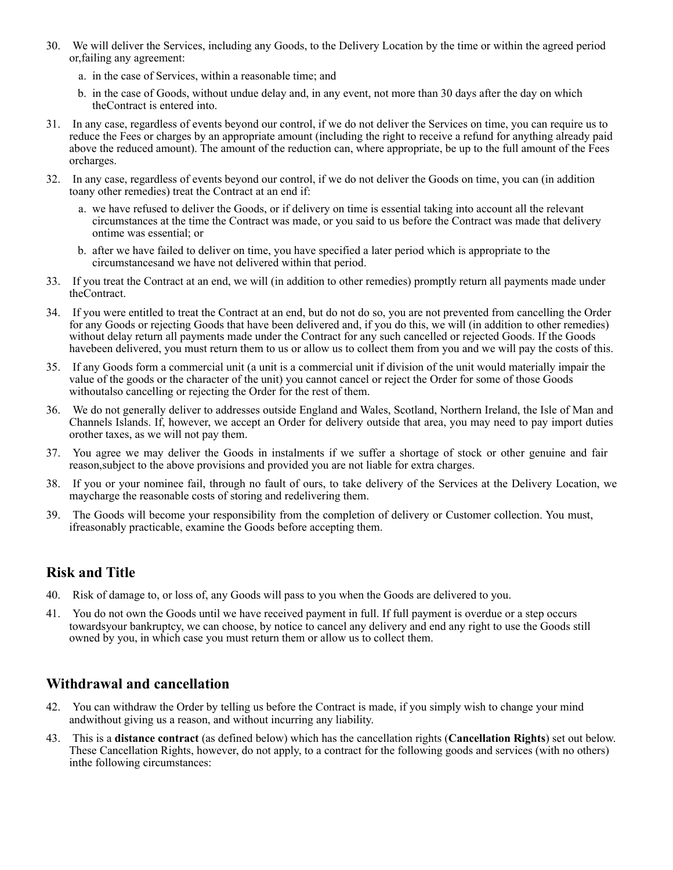- 30. We will deliver the Services, including any Goods, to the Delivery Location by the time or within the agreed period or,failing any agreement:
	- a. in the case of Services, within a reasonable time; and
	- b. in the case of Goods, without undue delay and, in any event, not more than 30 days after the day on which theContract is entered into.
- 31. In any case, regardless of events beyond our control, if we do not deliver the Services on time, you can require us to reduce the Fees or charges by an appropriate amount (including the right to receive a refund for anything already paid above the reduced amount). The amount of the reduction can, where appropriate, be up to the full amount of the Fees orcharges.
- 32. In any case, regardless of events beyond our control, if we do not deliver the Goods on time, you can (in addition toany other remedies) treat the Contract at an end if:
	- a. we have refused to deliver the Goods, or if delivery on time is essential taking into account all the relevant circumstances at the time the Contract was made, or you said to us before the Contract was made that delivery ontime was essential; or
	- b. after we have failed to deliver on time, you have specified a later period which is appropriate to the circumstancesand we have not delivered within that period.
- 33. If you treat the Contract at an end, we will (in addition to other remedies) promptly return all payments made under theContract.
- 34. If you were entitled to treat the Contract at an end, but do not do so, you are not prevented from cancelling the Order for any Goods or rejecting Goods that have been delivered and, if you do this, we will (in addition to other remedies) without delay return all payments made under the Contract for any such cancelled or rejected Goods. If the Goods havebeen delivered, you must return them to us or allow us to collect them from you and we will pay the costs of this.
- 35. If any Goods form a commercial unit (a unit is a commercial unit if division of the unit would materially impair the value of the goods or the character of the unit) you cannot cancel or reject the Order for some of those Goods withoutalso cancelling or rejecting the Order for the rest of them.
- 36. We do not generally deliver to addresses outside England and Wales, Scotland, Northern Ireland, the Isle of Man and Channels Islands. If, however, we accept an Order for delivery outside that area, you may need to pay import duties orother taxes, as we will not pay them.
- 37. You agree we may deliver the Goods in instalments if we suffer a shortage of stock or other genuine and fair reason,subject to the above provisions and provided you are not liable for extra charges.
- 38. If you or your nominee fail, through no fault of ours, to take delivery of the Services at the Delivery Location, we maycharge the reasonable costs of storing and redelivering them.
- 39. The Goods will become your responsibility from the completion of delivery or Customer collection. You must, ifreasonably practicable, examine the Goods before accepting them.

# **Risk and Title**

- 40. Risk of damage to, or loss of, any Goods will pass to you when the Goods are delivered to you.
- 41. You do not own the Goods until we have received payment in full. If full payment is overdue or a step occurs towardsyour bankruptcy, we can choose, by notice to cancel any delivery and end any right to use the Goods still owned by you, in which case you must return them or allow us to collect them.

### **Withdrawal and cancellation**

- 42. You can withdraw the Order by telling us before the Contract is made, if you simply wish to change your mind andwithout giving us a reason, and without incurring any liability.
- 43. This is a **distance contract** (as defined below) which has the cancellation rights (**Cancellation Rights**) set out below. These Cancellation Rights, however, do not apply, to a contract for the following goods and services (with no others) inthe following circumstances: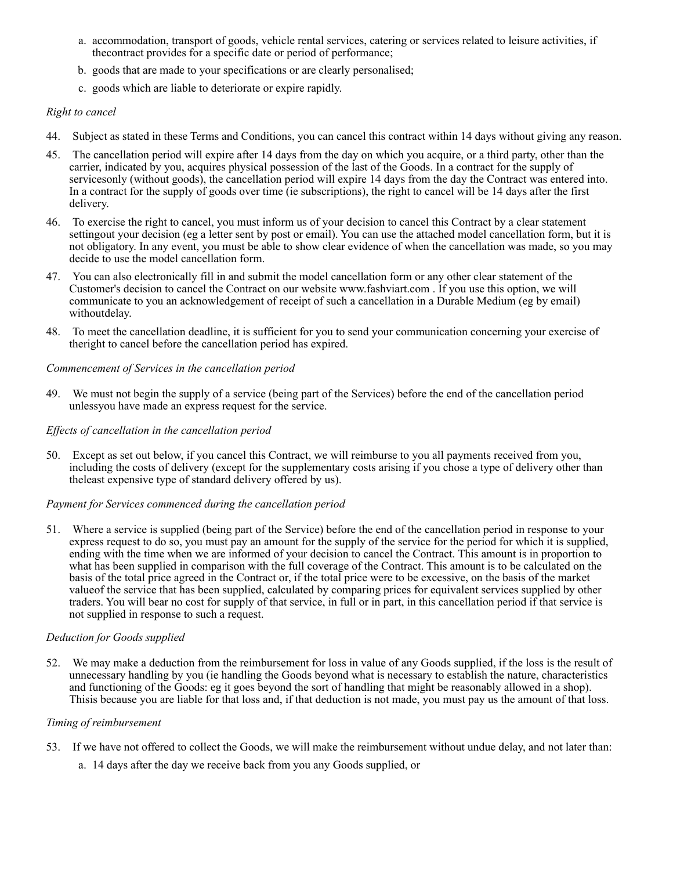- a. accommodation, transport of goods, vehicle rental services, catering or services related to leisure activities, if thecontract provides for a specific date or period of performance;
- b. goods that are made to your specifications or are clearly personalised;
- c. goods which are liable to deteriorate or expire rapidly.

#### *Right to cancel*

- 44. Subject as stated in these Terms and Conditions, you can cancel this contract within 14 days without giving any reason.
- 45. The cancellation period will expire after 14 days from the day on which you acquire, or a third party, other than the carrier, indicated by you, acquires physical possession of the last of the Goods. In a contract for the supply of servicesonly (without goods), the cancellation period will expire 14 days from the day the Contract was entered into. In a contract for the supply of goods over time (ie subscriptions), the right to cancel will be 14 days after the first delivery.
- 46. To exercise the right to cancel, you must inform us of your decision to cancel this Contract by a clear statement settingout your decision (eg a letter sent by post or email). You can use the attached model cancellation form, but it is not obligatory. In any event, you must be able to show clear evidence of when the cancellation was made, so you may decide to use the model cancellation form.
- 47. You can also electronically fill in and submit the model cancellation form or any other clear statement of the Customer's decision to cancel the Contract on our website [www.fashviart.com .](http://www.fashviart.com/) If you use this option, we will communicate to you an acknowledgement of receipt of such a cancellation in a Durable Medium (eg by email) withoutdelay.
- 48. To meet the cancellation deadline, it is sufficient for you to send your communication concerning your exercise of theright to cancel before the cancellation period has expired.

#### *Commencement of Services in the cancellation period*

49. We must not begin the supply of a service (being part of the Services) before the end of the cancellation period unlessyou have made an express request for the service.

#### *Effects of cancellation in the cancellation period*

50. Except as set out below, if you cancel this Contract, we will reimburse to you all payments received from you, including the costs of delivery (except for the supplementary costs arising if you chose a type of delivery other than theleast expensive type of standard delivery offered by us).

#### *Payment for Services commenced during the cancellation period*

51. Where a service is supplied (being part of the Service) before the end of the cancellation period in response to your express request to do so, you must pay an amount for the supply of the service for the period for which it is supplied, ending with the time when we are informed of your decision to cancel the Contract. This amount is in proportion to what has been supplied in comparison with the full coverage of the Contract. This amount is to be calculated on the basis of the total price agreed in the Contract or, if the total price were to be excessive, on the basis of the market valueof the service that has been supplied, calculated by comparing prices for equivalent services supplied by other traders. You will bear no cost for supply of that service, in full or in part, in this cancellation period if that service is not supplied in response to such a request.

#### *Deduction for Goods supplied*

52. We may make a deduction from the reimbursement for loss in value of any Goods supplied, if the loss is the result of unnecessary handling by you (ie handling the Goods beyond what is necessary to establish the nature, characteristics and functioning of the Goods: eg it goes beyond the sort of handling that might be reasonably allowed in a shop). Thisis because you are liable for that loss and, if that deduction is not made, you must pay us the amount of that loss.

#### *Timing of reimbursement*

- 53. If we have not offered to collect the Goods, we will make the reimbursement without undue delay, and not later than:
	- a. 14 days after the day we receive back from you any Goods supplied, or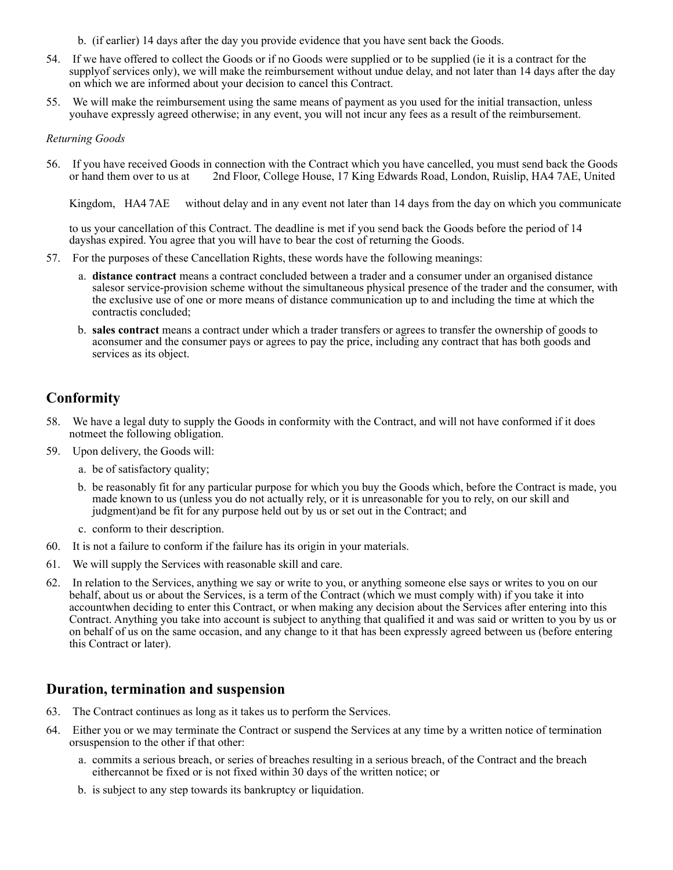- b. (if earlier) 14 days after the day you provide evidence that you have sent back the Goods.
- 54. If we have offered to collect the Goods or if no Goods were supplied or to be supplied (ie it is a contract for the supplyof services only), we will make the reimbursement without undue delay, and not later than 14 days after the day on which we are informed about your decision to cancel this Contract.
- 55. We will make the reimbursement using the same means of payment as you used for the initial transaction, unless youhave expressly agreed otherwise; in any event, you will not incur any fees as a result of the reimbursement.

#### *Returning Goods*

56. If you have received Goods in connection with the Contract which you have cancelled, you must send back the Goods or hand them over to us at 2nd Floor, College House, 17 King Edwards Road, London, Ruislip, HA4 7AE, United

Kingdom, HA4 7AE without delay and in any event not later than 14 days from the day on which you communicate

to us your cancellation of this Contract. The deadline is met if you send back the Goods before the period of 14 dayshas expired. You agree that you will have to bear the cost of returning the Goods.

- 57. For the purposes of these Cancellation Rights, these words have the following meanings:
	- a. **distance contract** means a contract concluded between a trader and a consumer under an organised distance salesor service-provision scheme without the simultaneous physical presence of the trader and the consumer, with the exclusive use of one or more means of distance communication up to and including the time at which the contractis concluded;
	- b. **sales contract** means a contract under which a trader transfers or agrees to transfer the ownership of goods to aconsumer and the consumer pays or agrees to pay the price, including any contract that has both goods and services as its object.

### **Conformity**

- 58. We have a legal duty to supply the Goods in conformity with the Contract, and will not have conformed if it does notmeet the following obligation.
- 59. Upon delivery, the Goods will:
	- a. be of satisfactory quality;
	- b. be reasonably fit for any particular purpose for which you buy the Goods which, before the Contract is made, you made known to us (unless you do not actually rely, or it is unreasonable for you to rely, on our skill and judgment)and be fit for any purpose held out by us or set out in the Contract; and
	- c. conform to their description.
- 60. It is not a failure to conform if the failure has its origin in your materials.
- 61. We will supply the Services with reasonable skill and care.
- 62. In relation to the Services, anything we say or write to you, or anything someone else says or writes to you on our behalf, about us or about the Services, is a term of the Contract (which we must comply with) if you take it into accountwhen deciding to enter this Contract, or when making any decision about the Services after entering into this Contract. Anything you take into account is subject to anything that qualified it and was said or written to you by us or on behalf of us on the same occasion, and any change to it that has been expressly agreed between us (before entering this Contract or later).

### **Duration, termination and suspension**

- 63. The Contract continues as long as it takes us to perform the Services.
- 64. Either you or we may terminate the Contract or suspend the Services at any time by a written notice of termination orsuspension to the other if that other:
	- a. commits a serious breach, or series of breaches resulting in a serious breach, of the Contract and the breach eithercannot be fixed or is not fixed within 30 days of the written notice; or
	- b. is subject to any step towards its bankruptcy or liquidation.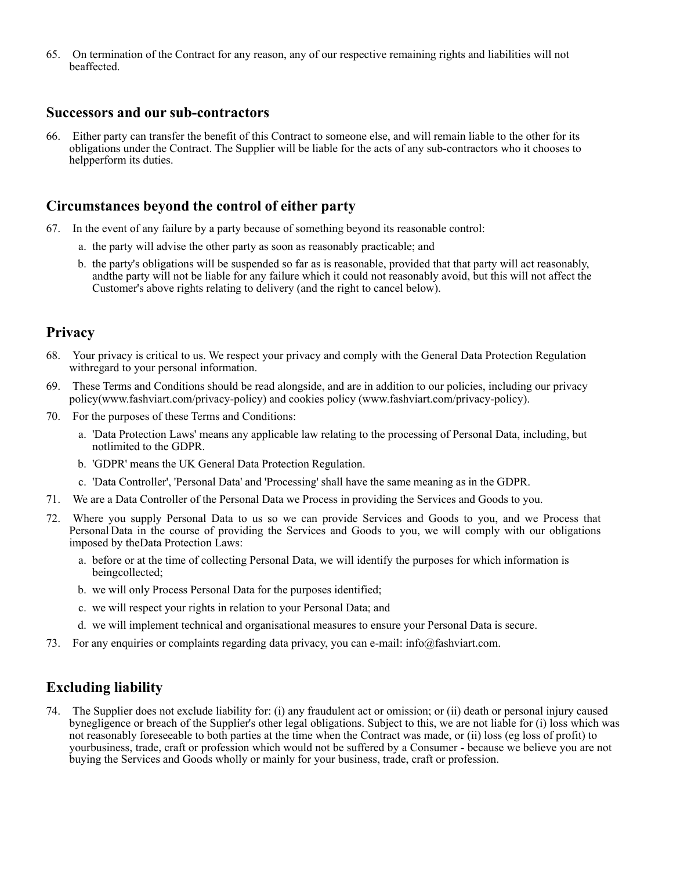65. On termination of the Contract for any reason, any of our respective remaining rights and liabilities will not beaffected.

### **Successors and our sub-contractors**

66. Either party can transfer the benefit of this Contract to someone else, and will remain liable to the other for its obligations under the Contract. The Supplier will be liable for the acts of any sub-contractors who it chooses to helpperform its duties.

### **Circumstances beyond the control of either party**

- 67. In the event of any failure by a party because of something beyond its reasonable control:
	- a. the party will advise the other party as soon as reasonably practicable; and
	- b. the party's obligations will be suspended so far as is reasonable, provided that that party will act reasonably, andthe party will not be liable for any failure which it could not reasonably avoid, but this will not affect the Customer's above rights relating to delivery (and the right to cancel below).

### **Privacy**

- 68. Your privacy is critical to us. We respect your privacy and comply with the General Data Protection Regulation withregard to your personal information.
- 69. These Terms and Conditions should be read alongside, and are in addition to our policies, including our privacy policy([www.fashviart.com/privacy-policy\)](http://www.fashviart.com/privacy-policy)) and cookies policy ([www.fashviart.com/privacy-policy\).](http://www.fashviart.com/privacy-policy))
- 70. For the purposes of these Terms and Conditions:
	- a. 'Data Protection Laws' means any applicable law relating to the processing of Personal Data, including, but notlimited to the GDPR.
	- b. 'GDPR' means the UK General Data Protection Regulation.
	- c. 'Data Controller', 'Personal Data' and 'Processing' shall have the same meaning as in the GDPR.
- 71. We are a Data Controller of the Personal Data we Process in providing the Services and Goods to you.
- 72. Where you supply Personal Data to us so we can provide Services and Goods to you, and we Process that Personal Data in the course of providing the Services and Goods to you, we will comply with our obligations imposed by theData Protection Laws:
	- a. before or at the time of collecting Personal Data, we will identify the purposes for which information is beingcollected;
	- b. we will only Process Personal Data for the purposes identified;
	- c. we will respect your rights in relation to your Personal Data; and
	- d. we will implement technical and organisational measures to ensure your Personal Data is secure.
- 73. For any enquiries or complaints regarding data privacy, you can e-mail: [info@fashviart.com.](mailto:info@fashviart.com)

### **Excluding liability**

74. The Supplier does not exclude liability for: (i) any fraudulent act or omission; or (ii) death or personal injury caused bynegligence or breach of the Supplier's other legal obligations. Subject to this, we are not liable for (i) loss which was not reasonably foreseeable to both parties at the time when the Contract was made, or (ii) loss (eg loss of profit) to yourbusiness, trade, craft or profession which would not be suffered by a Consumer - because we believe you are not buying the Services and Goods wholly or mainly for your business, trade, craft or profession.